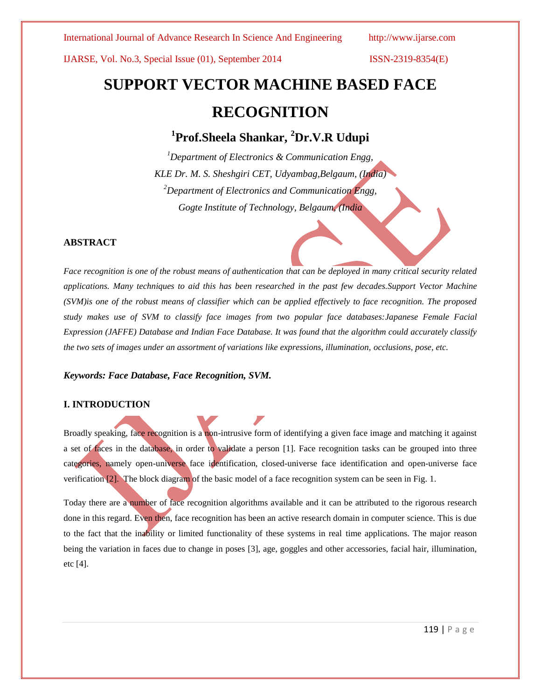International Journal of Advance Research In Science And Engineering http://www.ijarse.com

IJARSE, Vol. No.3, Special Issue (01), September 2014 ISSN-2319-8354(E)

# **SUPPORT VECTOR MACHINE BASED FACE RECOGNITION**

**1 Prof.Sheela Shankar, <sup>2</sup>Dr.V.R Udupi**

*<sup>1</sup>Department of Electronics & Communication Engg, KLE Dr. M. S. Sheshgiri CET, Udyambag,Belgaum, (India) <sup>2</sup>Department of Electronics and Communication Engg, Gogte Institute of Technology, Belgaum, (India*

#### **ABSTRACT**

*Face recognition is one of the robust means of authentication that can be deployed in many critical security related applications. Many techniques to aid this has been researched in the past few decades.Support Vector Machine (SVM)is one of the robust means of classifier which can be applied effectively to face recognition. The proposed study makes use of SVM to classify face images from two popular face databases:Japanese Female Facial Expression (JAFFE) Database and Indian Face Database. It was found that the algorithm could accurately classify the two sets of images under an assortment of variations like expressions, illumination, occlusions, pose, etc.*

*Keywords: Face Database, Face Recognition, SVM.*

### **I. INTRODUCTION**

Broadly speaking, face recognition is a non-intrusive form of identifying a given face image and matching it against a set of faces in the database, in order to validate a person [1]. Face recognition tasks can be grouped into three categories, namely open-universe face identification, closed-universe face identification and open-universe face verification [2]. The block diagram of the basic model of a face recognition system can be seen in Fig. 1.

Today there are a number of face recognition algorithms available and it can be attributed to the rigorous research done in this regard. Even then, face recognition has been an active research domain in computer science. This is due to the fact that the inability or limited functionality of these systems in real time applications. The major reason being the variation in faces due to change in poses [3], age, goggles and other accessories, facial hair, illumination, etc [4].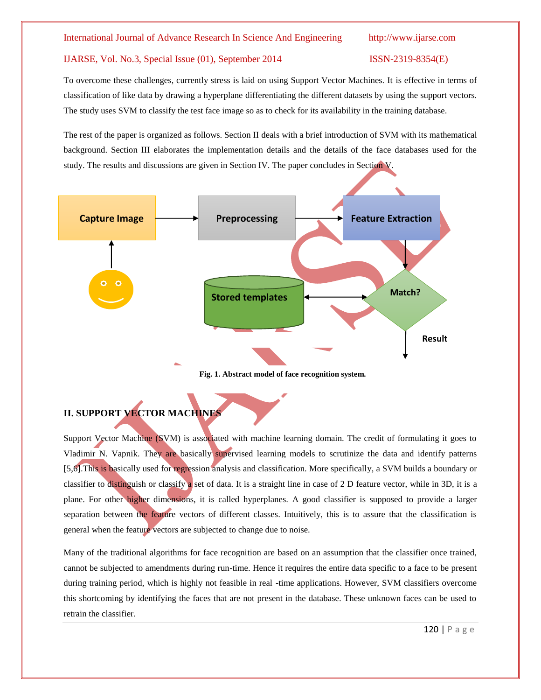To overcome these challenges, currently stress is laid on using Support Vector Machines. It is effective in terms of classification of like data by drawing a hyperplane differentiating the different datasets by using the support vectors. The study uses SVM to classify the test face image so as to check for its availability in the training database.

The rest of the paper is organized as follows. Section II deals with a brief introduction of SVM with its mathematical background. Section III elaborates the implementation details and the details of the face databases used for the study. The results and discussions are given in Section IV. The paper concludes in Section V.



**Fig. 1. Abstract model of face recognition system.**

# **II. SUPPORT VECTOR MACHINES**

Support Vector Machine (SVM) is associated with machine learning domain. The credit of formulating it goes to [Vladimir N. Vapnik.](http://en.wikipedia.org/wiki/Vladimir_N._Vapnik) They are basically supervised learning models to scrutinize the data and identify patterns [5,6].This is basically used for regression analysis and classification. More specifically, a SVM builds a boundary or classifier to distinguish or classify a set of data. It is a straight line in case of 2 D feature vector, while in 3D, it is a plane. For other higher dimensions, it is called hyperplanes. A good classifier is supposed to provide a larger separation between the feature vectors of different classes. Intuitively, this is to assure that the classification is general when the feature vectors are subjected to change due to noise.

Many of the traditional algorithms for face recognition are based on an assumption that the classifier once trained, cannot be subjected to amendments during run-time. Hence it requires the entire data specific to a face to be present during training period, which is highly not feasible in real -time applications. However, SVM classifiers overcome this shortcoming by identifying the faces that are not present in the database. These unknown faces can be used to retrain the classifier.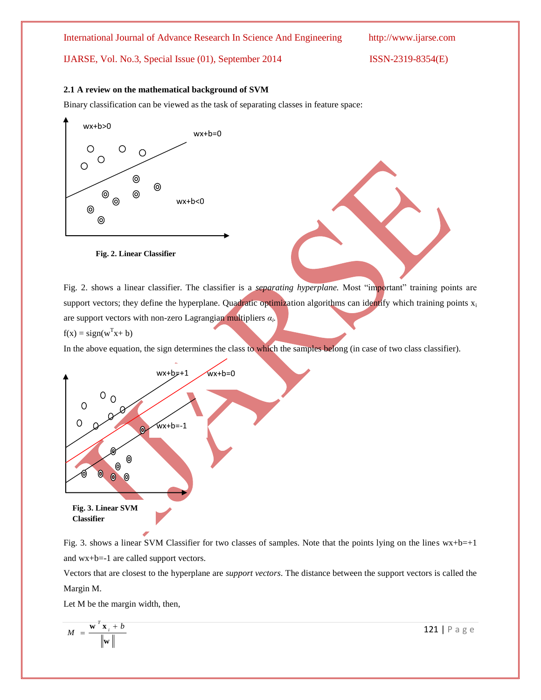#### **2.1 A review on the mathematical background of SVM**

Binary classification can be viewed as the task of separating classes in feature space:





Fig. 2. shows a linear classifier. The classifier is a *separating hyperplane.* Most "important" training points are support vectors; they define the hyperplane. Quadratic optimization algorithms can identify which training points x<sub>i</sub> are support vectors with non-zero Lagrangian multipliers *α<sup>i</sup> .* 

$$
f(x) = sign(w^{T}x + b)
$$

In the above equation, the sign determines the class to which the samples belong (in case of two class classifier).



Fig. 3. shows a linear SVM Classifier for two classes of samples. Note that the points lying on the lines  $wx+b=+1$ and wx+b=-1 are called support vectors.

Vectors that are closest to the hyperplane are *support vectors*. The distance between the support vectors is called the Margin M.

Let M be the margin width, then,

$$
M = \frac{\mathbf{w}^T \mathbf{x}_i + b}{\|\mathbf{w}\|}
$$

121 | P a g e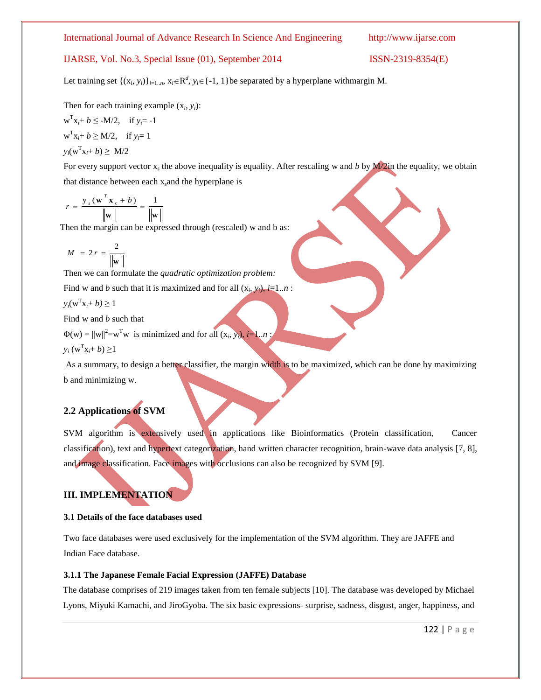Let training set  $\{(x_i, y_i)\}_{i=1..n}$ ,  $x_i \in \mathbb{R}^d$ ,  $y_i \in \{-1, 1\}$ be separated by a hyperplane withmargin M.

Then for each training example  $(x_i, y_i)$ :

$$
w^{T}x_{i} + b \leq -M/2, \quad \text{if } y_{i} = -1
$$
  

$$
w^{T}x_{i} + b \geq M/2, \quad \text{if } y_{i} = 1
$$
  

$$
y_{i}(w^{T}x_{i} + b) \geq M/2
$$

For every support vector x<sub>s</sub> the above inequality is equality. After rescaling w and *b* by **M**/2in the equality, we obtain that distance between each x*s*and the hyperplane is

$$
r = \frac{\mathbf{y}_s(\mathbf{w}^T \mathbf{x}_s + b)}{\|\mathbf{w}\|} = \frac{1}{\|\mathbf{w}\|}
$$

Then the margin can be expressed through (rescaled) w and b as:

$$
M = 2r = \frac{2}{\|\mathbf{w}\|}
$$

Then we can formulate the *quadratic optimization problem:* 

Find w and *b* such that it is maximized and for all  $(x_i, y_i)$ , *i*=1.*n* :

$$
y_i(\mathbf{w}^{\mathrm{T}}\mathbf{x}_i + b) \ge 1
$$

Find w and *b* such that

 $\Phi(w) = ||w||^2 = w^Tw$  is minimized and for all  $(x_i, y_i)$ , *i*=1..*n*;

$$
y_i \left( \mathbf{w}^{\mathrm{T}} \mathbf{x}_i + b \right) \geq 1
$$

As a summary, to design a better classifier, the margin width is to be maximized, which can be done by maximizing b and minimizing w.

### **2.2 Applications of SVM**

SVM algorithm is extensively used in applications like Bioinformatics (Protein classification, Cancer classification), text and hypertext categorization, hand written character recognition, brain-wave data analysis [7, 8], and image classification. Face images with occlusions can also be recognized by SVM [9].

# **III. IMPLEMENTATION**

#### **3.1 Details of the face databases used**

Two face databases were used exclusively for the implementation of the SVM algorithm. They are JAFFE and Indian Face database.

#### **3.1.1 The Japanese Female Facial Expression (JAFFE) Database**

The database comprises of 219 images taken from ten female subjects [10]. The database was developed by Michael Lyons, Miyuki Kamachi, and JiroGyoba. The six basic expressions- surprise, sadness, disgust, anger, happiness, and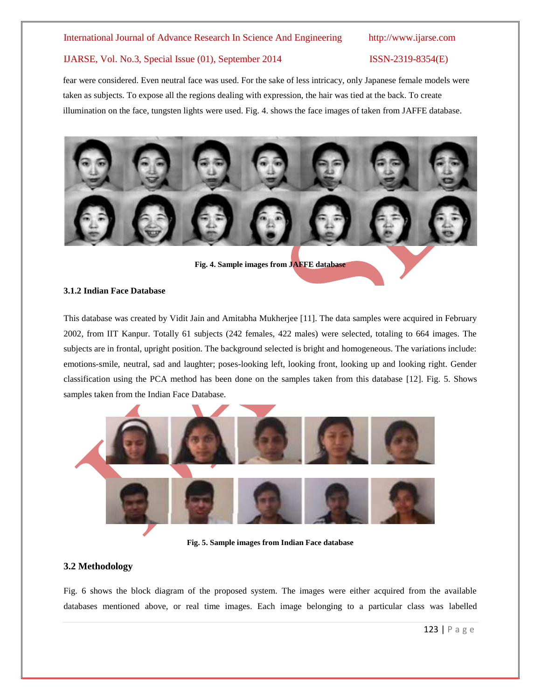#### International Journal of Advance Research In Science And Engineering http://www.ijarse.com

#### IJARSE, Vol. No.3, Special Issue (01), September 2014 ISSN-2319-8354(E)

fear were considered. Even neutral face was used. For the sake of less intricacy, only Japanese female models were taken as subjects. To expose all the regions dealing with expression, the hair was tied at the back. To create illumination on the face, tungsten lights were used. Fig. 4. shows the face images of taken from JAFFE database.



**Fig. 4. Sample images from JAFFE database**

#### **3.1.2 Indian Face Database**

This database was created by Vidit Jain and Amitabha Mukherjee [11]. The data samples were acquired in February 2002, from IIT Kanpur. Totally 61 subjects (242 females, 422 males) were selected, totaling to 664 images. The subjects are in frontal, upright position. The background selected is bright and homogeneous. The variations include: emotions-smile, neutral, sad and laughter; poses-looking left, looking front, looking up and looking right. Gender classification using the PCA method has been done on the samples taken from this database [12]. Fig. 5. Shows samples taken from the Indian Face Database.



**Fig. 5. Sample images from Indian Face database**

#### **3.2 Methodology**

Fig. 6 shows the block diagram of the proposed system. The images were either acquired from the available databases mentioned above, or real time images. Each image belonging to a particular class was labelled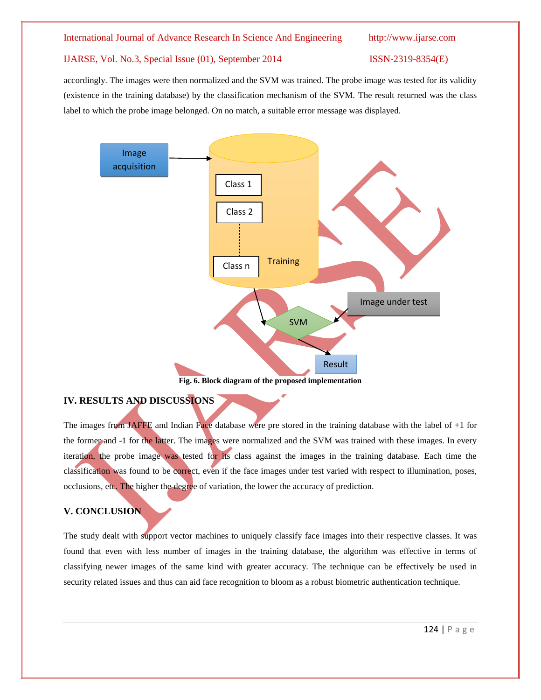accordingly. The images were then normalized and the SVM was trained. The probe image was tested for its validity (existence in the training database) by the classification mechanism of the SVM. The result returned was the class label to which the probe image belonged. On no match, a suitable error message was displayed.



# **IV. RESULTS AND DISCUSSIONS**

The images from JAFFE and Indian Face database were pre stored in the training database with the label of +1 for the former and -1 for the latter. The images were normalized and the SVM was trained with these images. In every iteration, the probe image was tested for its class against the images in the training database. Each time the classification was found to be correct, even if the face images under test varied with respect to illumination, poses, occlusions, etc. The higher the degree of variation, the lower the accuracy of prediction.

### **V. CONCLUSION**

The study dealt with support vector machines to uniquely classify face images into their respective classes. It was found that even with less number of images in the training database, the algorithm was effective in terms of classifying newer images of the same kind with greater accuracy. The technique can be effectively be used in security related issues and thus can aid face recognition to bloom as a robust biometric authentication technique.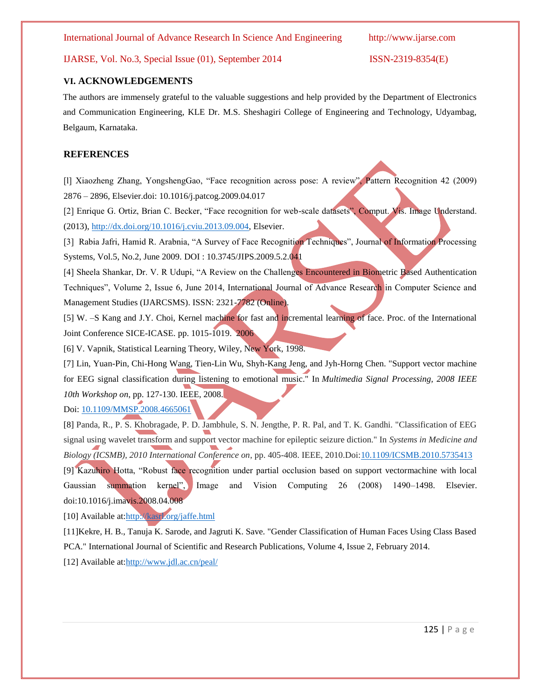International Journal of Advance Research In Science And Engineering http://www.ijarse.com

### IJARSE, Vol. No.3, Special Issue (01), September 2014 ISSN-2319-8354(E)

#### **VI. ACKNOWLEDGEMENTS**

The authors are immensely grateful to the valuable suggestions and help provided by the Department of Electronics and Communication Engineering, KLE Dr. M.S. Sheshagiri College of Engineering and Technology, Udyambag, Belgaum, Karnataka.

#### **REFERENCES**

[l] Xiaozheng Zhang, YongshengGao, "Face recognition across pose: A review", Pattern Recognition 42 (2009) 2876 – 2896, Elsevier.doi: 10.1016/j.patcog.2009.04.017

[2] Enrique G. Ortiz, Brian C. Becker, "Face recognition for web-scale datasets", Comput. Vis. Image Understand. (2013)[, http://dx.doi.org/10.1016/j.cviu.2013.09.004,](http://dx.doi.org/10.1016/j.cviu.2013.09.004) Elsevier.

[3] Rabia Jafri, Hamid R. Arabnia, "A Survey of Face Recognition Techniques", Journal of Information Processing Systems, Vol.5, No.2, June 2009. DOI : 10.3745/JIPS.2009.5.2.041

[4] Sheela Shankar, Dr. V. R Udupi, "A Review on the Challenges Encountered in Biometric Based Authentication Techniques", Volume 2, Issue 6, June 2014, International Journal of Advance Research in Computer Science and Management Studies (IJARCSMS). ISSN: 2321-7782 (Online).

[5] W. –S Kang and J.Y. Choi, Kernel machine for fast and incremental learning of face. Proc. of the International Joint Conference SICE-ICASE. pp. 1015-1019. 2006

[6] V. Vapnik, Statistical Learning Theory, Wiley, New York, 1998.

[7] Lin, Yuan-Pin, Chi-Hong Wang, Tien-Lin Wu, Shyh-Kang Jeng, and Jyh-Horng Chen. "Support vector machine for EEG signal classification during listening to emotional music." In *Multimedia Signal Processing, 2008 IEEE 10th Workshop on*, pp. 127-130. IEEE, 2008.

Doi: [10.1109/MMSP.2008.4665061](http://dx.doi.org/10.1109/MMSP.2008.4665061)

[8] Panda, R., P. S. Khobragade, P. D. Jambhule, S. N. Jengthe, P. R. Pal, and T. K. Gandhi. "Classification of EEG signal using wavelet transform and support vector machine for epileptic seizure diction." In *Systems in Medicine and Biology (ICSMB), 2010 International Conference on*, pp. 405-408. IEEE, 2010.Doi[:10.1109/ICSMB.2010.5735413](http://dx.doi.org/10.1109/ICSMB.2010.5735413) [9] Kazuhiro Hotta, "Robust face recognition under partial occlusion based on support vectormachine with local Gaussian summation kernel", Image and Vision Computing 26 (2008) 1490–1498. Elsevier. doi:10.1016/j.imavis.2008.04.008

[10] Available at[:http://kasrl.org/jaffe.html](http://kasrl.org/jaffe.html)

[11]Kekre, H. B., Tanuja K. Sarode, and Jagruti K. Save. "Gender Classification of Human Faces Using Class Based PCA." International Journal of Scientific and Research Publications, Volume 4, Issue 2, February 2014.

[12] Available at[:http://www.jdl.ac.cn/peal/](http://www.jdl.ac.cn/peal/)